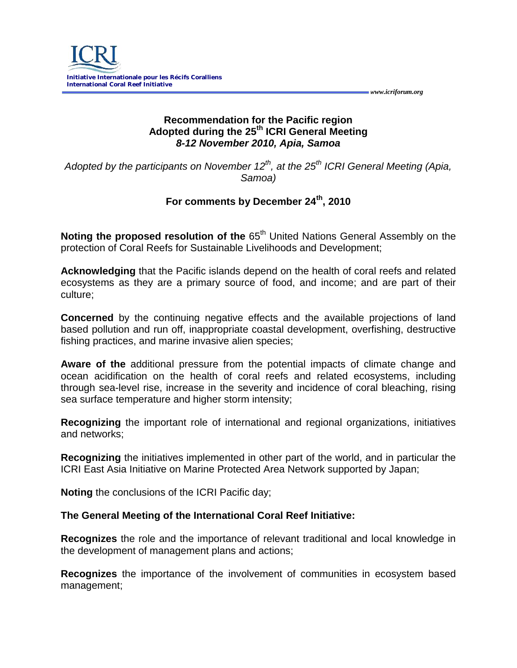

### **Recommendation for the Pacific region Adopted during the 25th ICRI General Meeting** *8-12 November 2010, Apia, Samoa*

 *www.icriforum.org* 

*Adopted by the participants on November 12<sup>th</sup>, at the 25<sup>th</sup> ICRI General Meeting (Apia, Samoa)*

# **For comments by December 24th, 2010**

**Noting the proposed resolution of the 65<sup>th</sup> United Nations General Assembly on the** protection of Coral Reefs for Sustainable Livelihoods and Development;

**Acknowledging** that the Pacific islands depend on the health of coral reefs and related ecosystems as they are a primary source of food, and income; and are part of their culture;

**Concerned** by the continuing negative effects and the available projections of land based pollution and run off, inappropriate coastal development, overfishing, destructive fishing practices, and marine invasive alien species;

**Aware of the** additional pressure from the potential impacts of climate change and ocean acidification on the health of coral reefs and related ecosystems, including through sea-level rise, increase in the severity and incidence of coral bleaching, rising sea surface temperature and higher storm intensity;

**Recognizing** the important role of international and regional organizations, initiatives and networks;

**Recognizing** the initiatives implemented in other part of the world, and in particular the ICRI East Asia Initiative on Marine Protected Area Network supported by Japan;

**Noting** the conclusions of the ICRI Pacific day;

## **The General Meeting of the International Coral Reef Initiative:**

**Recognizes** the role and the importance of relevant traditional and local knowledge in the development of management plans and actions;

**Recognizes** the importance of the involvement of communities in ecosystem based management;